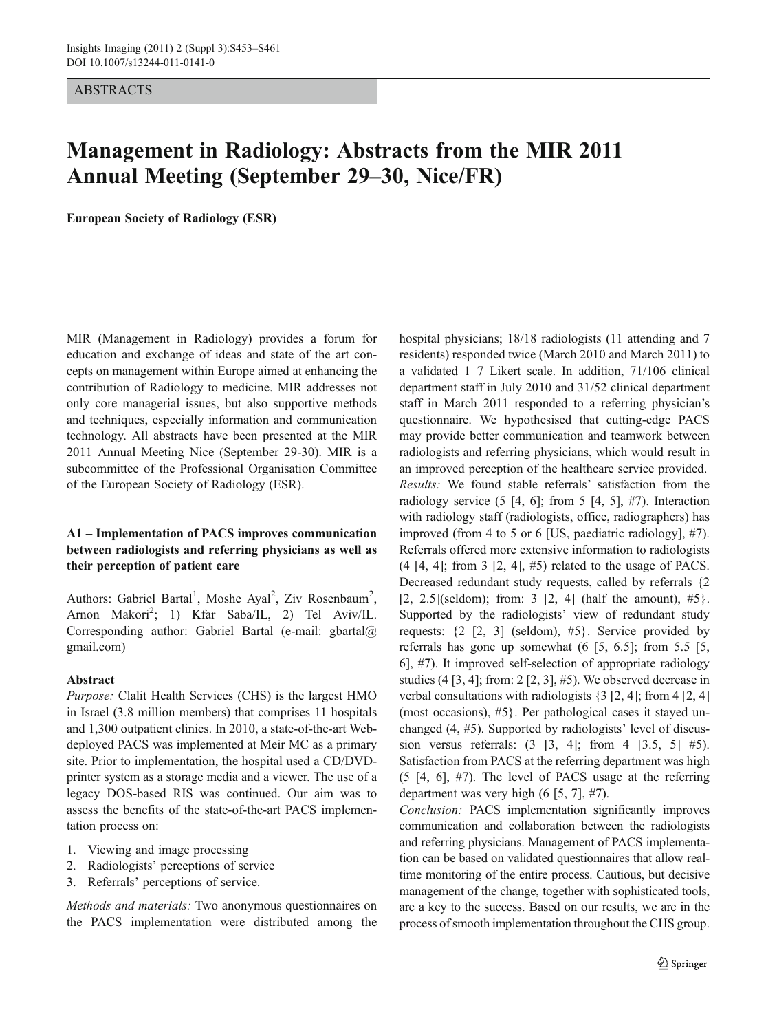ABSTRACTS

# Management in Radiology: Abstracts from the MIR 2011 Annual Meeting (September 29–30, Nice/FR)

European Society of Radiology (ESR)

MIR (Management in Radiology) provides a forum for education and exchange of ideas and state of the art concepts on management within Europe aimed at enhancing the contribution of Radiology to medicine. MIR addresses not only core managerial issues, but also supportive methods and techniques, especially information and communication technology. All abstracts have been presented at the MIR 2011 Annual Meeting Nice (September 29-30). MIR is a subcommittee of the Professional Organisation Committee of the European Society of Radiology (ESR).

## A1 – Implementation of PACS improves communication between radiologists and referring physicians as well as their perception of patient care

Authors: Gabriel Bartal<sup>1</sup>, Moshe Ayal<sup>2</sup>, Ziv Rosenbaum<sup>2</sup>, Arnon Makori<sup>2</sup>; 1) Kfar Saba/IL, 2) Tel Aviv/IL. Corresponding author: Gabriel Bartal (e-mail: gbartal@) gmail.com)

#### Abstract

Purpose: Clalit Health Services (CHS) is the largest HMO in Israel (3.8 million members) that comprises 11 hospitals and 1,300 outpatient clinics. In 2010, a state-of-the-art Webdeployed PACS was implemented at Meir MC as a primary site. Prior to implementation, the hospital used a CD/DVDprinter system as a storage media and a viewer. The use of a legacy DOS-based RIS was continued. Our aim was to assess the benefits of the state-of-the-art PACS implementation process on:

- 1. Viewing and image processing
- 2. Radiologists' perceptions of service
- 3. Referrals' perceptions of service.

Methods and materials: Two anonymous questionnaires on the PACS implementation were distributed among the hospital physicians; 18/18 radiologists (11 attending and 7 residents) responded twice (March 2010 and March 2011) to a validated 1–7 Likert scale. In addition, 71/106 clinical department staff in July 2010 and 31/52 clinical department staff in March 2011 responded to a referring physician's questionnaire. We hypothesised that cutting-edge PACS may provide better communication and teamwork between radiologists and referring physicians, which would result in an improved perception of the healthcare service provided. Results: We found stable referrals' satisfaction from the radiology service  $(5 \; 5 \; 4, 6)$ ; from  $5 \; 5 \; 4, 5$ ], #7). Interaction with radiology staff (radiologists, office, radiographers) has improved (from 4 to 5 or 6 [US, paediatric radiology], #7). Referrals offered more extensive information to radiologists (4 [4, 4]; from 3 [2, 4], #5) related to the usage of PACS. Decreased redundant study requests, called by referrals {2 [2, 2.5](seldom); from: 3 [2, 4] (half the amount),  $#5$ }. Supported by the radiologists' view of redundant study requests:  $\{2 \}$  [2, 3] (seldom),  $\#5\}$ . Service provided by referrals has gone up somewhat (6 [5, 6.5]; from 5.5 [5, 6], #7). It improved self-selection of appropriate radiology studies (4 [3, 4]; from: 2 [2, 3], #5). We observed decrease in verbal consultations with radiologists {3 [2, 4]; from 4 [2, 4] (most occasions), #5}. Per pathological cases it stayed unchanged (4, #5). Supported by radiologists' level of discussion versus referrals: (3 [3, 4]; from 4 [3.5, 5] #5). Satisfaction from PACS at the referring department was high (5 [4, 6], #7). The level of PACS usage at the referring department was very high (6 [5, 7], #7).

Conclusion: PACS implementation significantly improves communication and collaboration between the radiologists and referring physicians. Management of PACS implementation can be based on validated questionnaires that allow realtime monitoring of the entire process. Cautious, but decisive management of the change, together with sophisticated tools, are a key to the success. Based on our results, we are in the process of smooth implementation throughout the CHS group.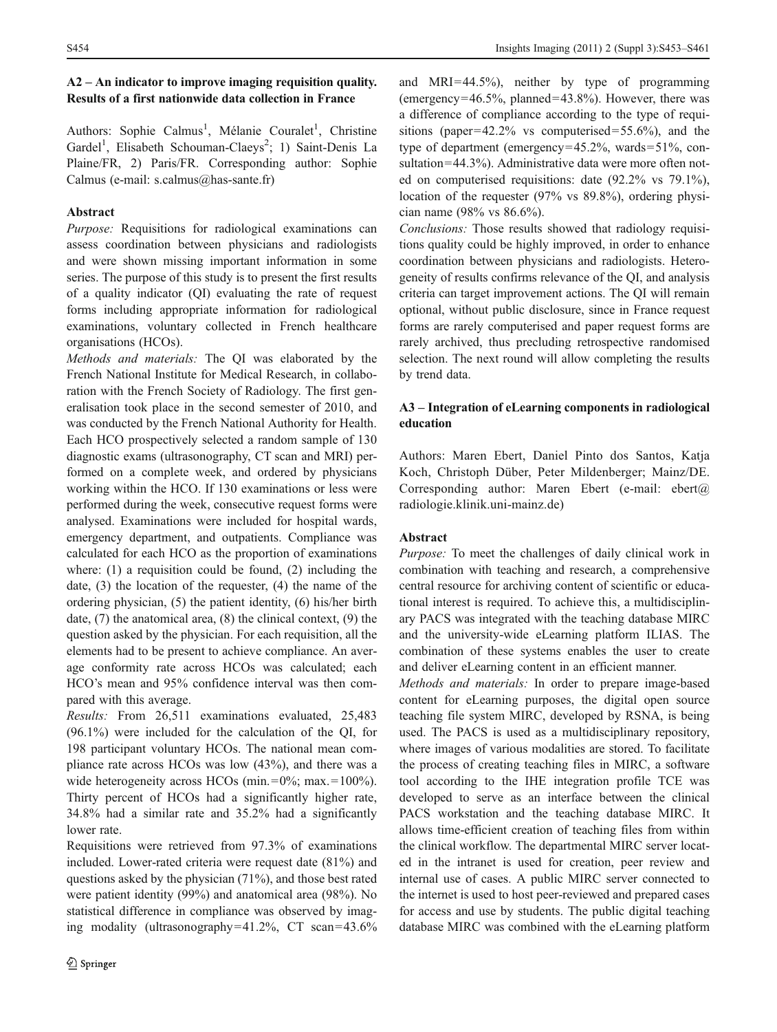## A2 – An indicator to improve imaging requisition quality. Results of a first nationwide data collection in France

Authors: Sophie Calmus<sup>1</sup>, Mélanie Couralet<sup>1</sup>, Christine Gardel<sup>1</sup>, Elisabeth Schouman-Claeys<sup>2</sup>; 1) Saint-Denis La Plaine/FR, 2) Paris/FR. Corresponding author: Sophie Calmus (e-mail: s.calmus@has-sante.fr)

#### Abstract

Purpose: Requisitions for radiological examinations can assess coordination between physicians and radiologists and were shown missing important information in some series. The purpose of this study is to present the first results of a quality indicator (QI) evaluating the rate of request forms including appropriate information for radiological examinations, voluntary collected in French healthcare organisations (HCOs).

Methods and materials: The QI was elaborated by the French National Institute for Medical Research, in collaboration with the French Society of Radiology. The first generalisation took place in the second semester of 2010, and was conducted by the French National Authority for Health. Each HCO prospectively selected a random sample of 130 diagnostic exams (ultrasonography, CT scan and MRI) performed on a complete week, and ordered by physicians working within the HCO. If 130 examinations or less were performed during the week, consecutive request forms were analysed. Examinations were included for hospital wards, emergency department, and outpatients. Compliance was calculated for each HCO as the proportion of examinations where: (1) a requisition could be found, (2) including the date, (3) the location of the requester, (4) the name of the ordering physician, (5) the patient identity, (6) his/her birth date, (7) the anatomical area, (8) the clinical context, (9) the question asked by the physician. For each requisition, all the elements had to be present to achieve compliance. An average conformity rate across HCOs was calculated; each HCO's mean and 95% confidence interval was then compared with this average.

Results: From 26,511 examinations evaluated, 25,483 (96.1%) were included for the calculation of the QI, for 198 participant voluntary HCOs. The national mean compliance rate across HCOs was low (43%), and there was a wide heterogeneity across HCOs (min. $=0\%$ ; max. $=100\%$ ). Thirty percent of HCOs had a significantly higher rate, 34.8% had a similar rate and 35.2% had a significantly lower rate.

Requisitions were retrieved from 97.3% of examinations included. Lower-rated criteria were request date (81%) and questions asked by the physician (71%), and those best rated were patient identity (99%) and anatomical area (98%). No statistical difference in compliance was observed by imaging modality (ultrasonography= $41.2\%$ , CT scan= $43.6\%$ 

and MRI=44.5%), neither by type of programming (emergency= $46.5\%$ , planned= $43.8\%$ ). However, there was a difference of compliance according to the type of requisitions (paper=42.2% vs computerised=55.6%), and the type of department (emergency= $45.2\%$ , wards= $51\%$ , consultation=44.3%). Administrative data were more often noted on computerised requisitions: date (92.2% vs 79.1%), location of the requester (97% vs 89.8%), ordering physician name (98% vs 86.6%).

Conclusions: Those results showed that radiology requisitions quality could be highly improved, in order to enhance coordination between physicians and radiologists. Heterogeneity of results confirms relevance of the QI, and analysis criteria can target improvement actions. The QI will remain optional, without public disclosure, since in France request forms are rarely computerised and paper request forms are rarely archived, thus precluding retrospective randomised selection. The next round will allow completing the results by trend data.

## A3 – Integration of eLearning components in radiological education

Authors: Maren Ebert, Daniel Pinto dos Santos, Katja Koch, Christoph Düber, Peter Mildenberger; Mainz/DE. Corresponding author: Maren Ebert (e-mail: ebert@ radiologie.klinik.uni-mainz.de)

#### Abstract

Purpose: To meet the challenges of daily clinical work in combination with teaching and research, a comprehensive central resource for archiving content of scientific or educational interest is required. To achieve this, a multidisciplinary PACS was integrated with the teaching database MIRC and the university-wide eLearning platform ILIAS. The combination of these systems enables the user to create and deliver eLearning content in an efficient manner.

Methods and materials: In order to prepare image-based content for eLearning purposes, the digital open source teaching file system MIRC, developed by RSNA, is being used. The PACS is used as a multidisciplinary repository, where images of various modalities are stored. To facilitate the process of creating teaching files in MIRC, a software tool according to the IHE integration profile TCE was developed to serve as an interface between the clinical PACS workstation and the teaching database MIRC. It allows time-efficient creation of teaching files from within the clinical workflow. The departmental MIRC server located in the intranet is used for creation, peer review and internal use of cases. A public MIRC server connected to the internet is used to host peer-reviewed and prepared cases for access and use by students. The public digital teaching database MIRC was combined with the eLearning platform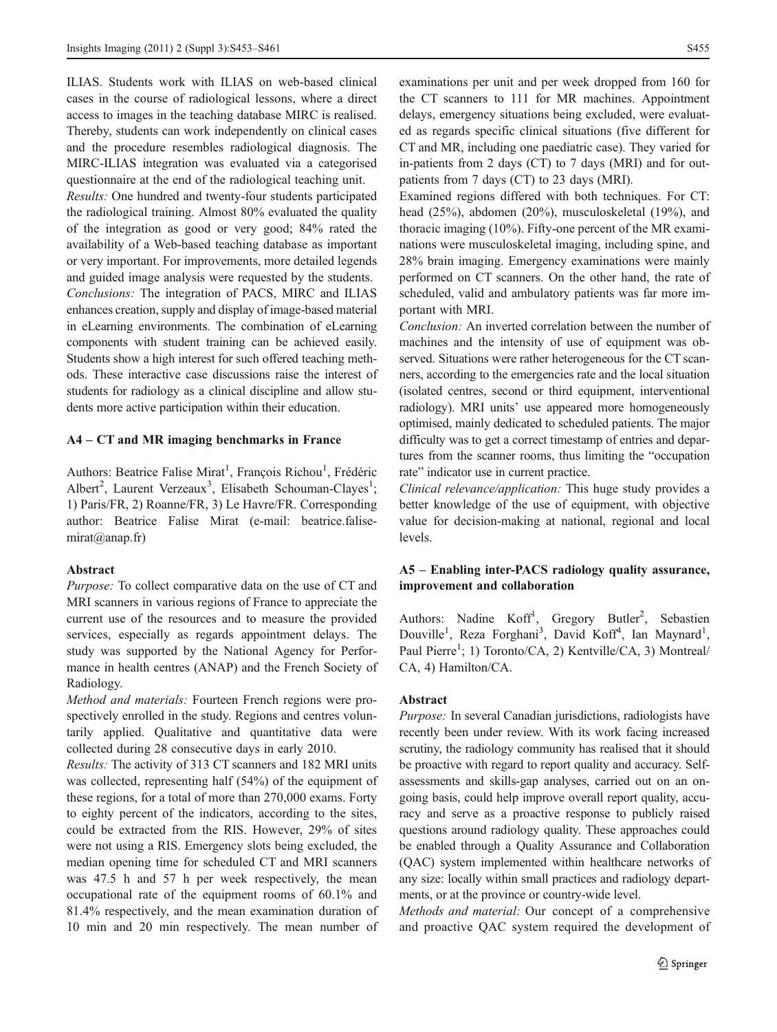ILIAS. Students work with ILIAS on web-based clinical cases in the course of radiological lessons, where a direct access to images in the teaching database MIRC is realised. Thereby, students can work independently on clinical cases and the procedure resembles radiological diagnosis. The MIRC-ILIAS integration was evaluated via a categorised questionnaire at the end of the radiological teaching unit.

Results: One hundred and twenty-four students participated the radiological training. Almost 80% evaluated the quality of the integration as good or very good; 84% rated the availability of a Web-based teaching database as important or very important. For improvements, more detailed legends and guided image analysis were requested by the students. Conclusions: The integration of PACS, MIRC and ILIAS enhances creation, supply and display of image-based material in eLearning environments. The combination of eLearning components with student training can be achieved easily. Students show a high interest for such offered teaching methods. These interactive case discussions raise the interest of students for radiology as a clinical discipline and allow students more active participation within their education.

#### A4 – CT and MR imaging benchmarks in France

Authors: Beatrice Falise Mirat<sup>1</sup>, François Richou<sup>1</sup>, Frédéric Albert<sup>2</sup>, Laurent Verzeaux<sup>3</sup>, Elisabeth Schouman-Clayes<sup>1</sup>; 1) Paris/FR, 2) Roanne/FR, 3) Le Havre/FR. Corresponding author: Beatrice Falise Mirat (e-mail: beatrice.falise $mirat@anap.fr)$ 

#### Abstract

Purpose: To collect comparative data on the use of CT and MRI scanners in various regions of France to appreciate the current use of the resources and to measure the provided services, especially as regards appointment delays. The study was supported by the National Agency for Performance in health centres (ANAP) and the French Society of Radiology.

Method and materials: Fourteen French regions were prospectively enrolled in the study. Regions and centres voluntarily applied. Qualitative and quantitative data were collected during 28 consecutive days in early 2010.

Results: The activity of 313 CT scanners and 182 MRI units was collected, representing half (54%) of the equipment of these regions, for a total of more than 270,000 exams. Forty to eighty percent of the indicators, according to the sites, could be extracted from the RIS. However, 29% of sites were not using a RIS. Emergency slots being excluded, the median opening time for scheduled CT and MRI scanners was 47.5 h and 57 h per week respectively, the mean occupational rate of the equipment rooms of 60.1% and 81.4% respectively, and the mean examination duration of 10 min and 20 min respectively. The mean number of

examinations per unit and per week dropped from 160 for the CT scanners to 111 for MR machines. Appointment delays, emergency situations being excluded, were evaluated as regards specific clinical situations (five different for CT and MR, including one paediatric case). They varied for in-patients from 2 days (CT) to 7 days (MRI) and for outpatients from 7 days (CT) to 23 days (MRI).

Examined regions differed with both techniques. For CT: head (25%), abdomen (20%), musculoskeletal (19%), and thoracic imaging (10%). Fifty-one percent of the MR examinations were musculoskeletal imaging, including spine, and 28% brain imaging. Emergency examinations were mainly performed on CT scanners. On the other hand, the rate of scheduled, valid and ambulatory patients was far more important with MRI.

Conclusion: An inverted correlation between the number of machines and the intensity of use of equipment was observed. Situations were rather heterogeneous for the CT scanners, according to the emergencies rate and the local situation (isolated centres, second or third equipment, interventional radiology). MRI units' use appeared more homogeneously optimised, mainly dedicated to scheduled patients. The major difficulty was to get a correct timestamp of entries and departures from the scanner rooms, thus limiting the "occupation rate" indicator use in current practice.

Clinical relevance/application: This huge study provides a better knowledge of the use of equipment, with objective value for decision-making at national, regional and local levels.

## A5 – Enabling inter-PACS radiology quality assurance, improvement and collaboration

Authors: Nadine Koff<sup>1</sup>, Gregory Butler<sup>2</sup>, Sebastien Douville<sup>1</sup>, Reza Forghani<sup>3</sup>, David Koff<sup>4</sup>, Ian Maynard<sup>1</sup>, Paul Pierre<sup>1</sup>; 1) Toronto/CA, 2) Kentville/CA, 3) Montreal/ CA, 4) Hamilton/CA.

#### Abstract

Purpose: In several Canadian jurisdictions, radiologists have recently been under review. With its work facing increased scrutiny, the radiology community has realised that it should be proactive with regard to report quality and accuracy. Selfassessments and skills-gap analyses, carried out on an ongoing basis, could help improve overall report quality, accuracy and serve as a proactive response to publicly raised questions around radiology quality. These approaches could be enabled through a Quality Assurance and Collaboration (QAC) system implemented within healthcare networks of any size: locally within small practices and radiology departments, or at the province or country-wide level.

Methods and material: Our concept of a comprehensive and proactive QAC system required the development of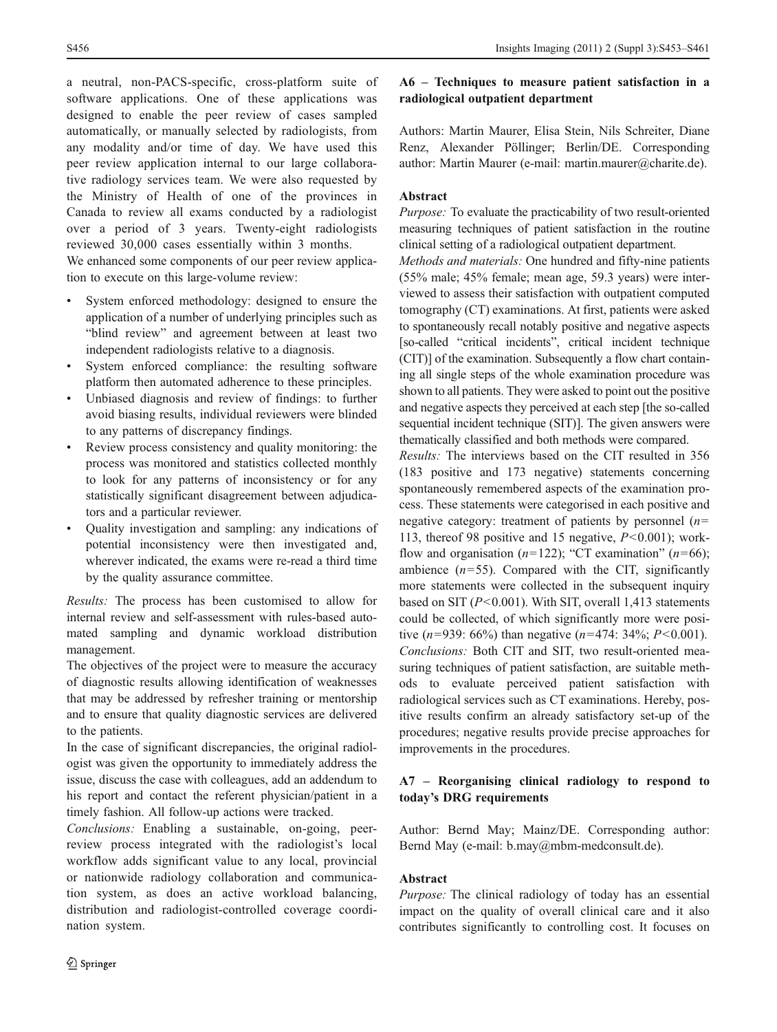a neutral, non-PACS-specific, cross-platform suite of software applications. One of these applications was designed to enable the peer review of cases sampled automatically, or manually selected by radiologists, from any modality and/or time of day. We have used this peer review application internal to our large collaborative radiology services team. We were also requested by the Ministry of Health of one of the provinces in Canada to review all exams conducted by a radiologist over a period of 3 years. Twenty-eight radiologists reviewed 30,000 cases essentially within 3 months. We enhanced some components of our peer review application to execute on this large-volume review:

- System enforced methodology: designed to ensure the application of a number of underlying principles such as "blind review" and agreement between at least two independent radiologists relative to a diagnosis.
- System enforced compliance: the resulting software platform then automated adherence to these principles.
- Unbiased diagnosis and review of findings: to further avoid biasing results, individual reviewers were blinded to any patterns of discrepancy findings.
- Review process consistency and quality monitoring: the process was monitored and statistics collected monthly to look for any patterns of inconsistency or for any statistically significant disagreement between adjudicators and a particular reviewer.
- Quality investigation and sampling: any indications of potential inconsistency were then investigated and, wherever indicated, the exams were re-read a third time by the quality assurance committee.

Results: The process has been customised to allow for internal review and self-assessment with rules-based automated sampling and dynamic workload distribution management.

The objectives of the project were to measure the accuracy of diagnostic results allowing identification of weaknesses that may be addressed by refresher training or mentorship and to ensure that quality diagnostic services are delivered to the patients.

In the case of significant discrepancies, the original radiologist was given the opportunity to immediately address the issue, discuss the case with colleagues, add an addendum to his report and contact the referent physician/patient in a timely fashion. All follow-up actions were tracked.

Conclusions: Enabling a sustainable, on-going, peerreview process integrated with the radiologist's local workflow adds significant value to any local, provincial or nationwide radiology collaboration and communication system, as does an active workload balancing, distribution and radiologist-controlled coverage coordination system.

# A6 – Techniques to measure patient satisfaction in a radiological outpatient department

Authors: Martin Maurer, Elisa Stein, Nils Schreiter, Diane Renz, Alexander Pöllinger; Berlin/DE. Corresponding author: Martin Maurer (e-mail: martin.maurer@charite.de).

## Abstract

Purpose: To evaluate the practicability of two result-oriented measuring techniques of patient satisfaction in the routine clinical setting of a radiological outpatient department.

Methods and materials: One hundred and fifty-nine patients (55% male; 45% female; mean age, 59.3 years) were interviewed to assess their satisfaction with outpatient computed tomography (CT) examinations. At first, patients were asked to spontaneously recall notably positive and negative aspects [so-called "critical incidents", critical incident technique (CIT)] of the examination. Subsequently a flow chart containing all single steps of the whole examination procedure was shown to all patients. They were asked to point out the positive and negative aspects they perceived at each step [the so-called sequential incident technique (SIT)]. The given answers were thematically classified and both methods were compared.

Results: The interviews based on the CIT resulted in 356 (183 positive and 173 negative) statements concerning spontaneously remembered aspects of the examination process. These statements were categorised in each positive and negative category: treatment of patients by personnel  $(n=$ 113, thereof 98 positive and 15 negative,  $P<0.001$ ); workflow and organisation ( $n=122$ ); "CT examination" ( $n=66$ ); ambience  $(n=55)$ . Compared with the CIT, significantly more statements were collected in the subsequent inquiry based on SIT  $(P<0.001)$ . With SIT, overall 1,413 statements could be collected, of which significantly more were positive (n=939: 66%) than negative (n=474: 34%; P<0.001). Conclusions: Both CIT and SIT, two result-oriented measuring techniques of patient satisfaction, are suitable methods to evaluate perceived patient satisfaction with radiological services such as CT examinations. Hereby, positive results confirm an already satisfactory set-up of the procedures; negative results provide precise approaches for improvements in the procedures.

## A7 – Reorganising clinical radiology to respond to today's DRG requirements

Author: Bernd May; Mainz/DE. Corresponding author: Bernd May (e-mail: b.may@mbm-medconsult.de).

## Abstract

Purpose: The clinical radiology of today has an essential impact on the quality of overall clinical care and it also contributes significantly to controlling cost. It focuses on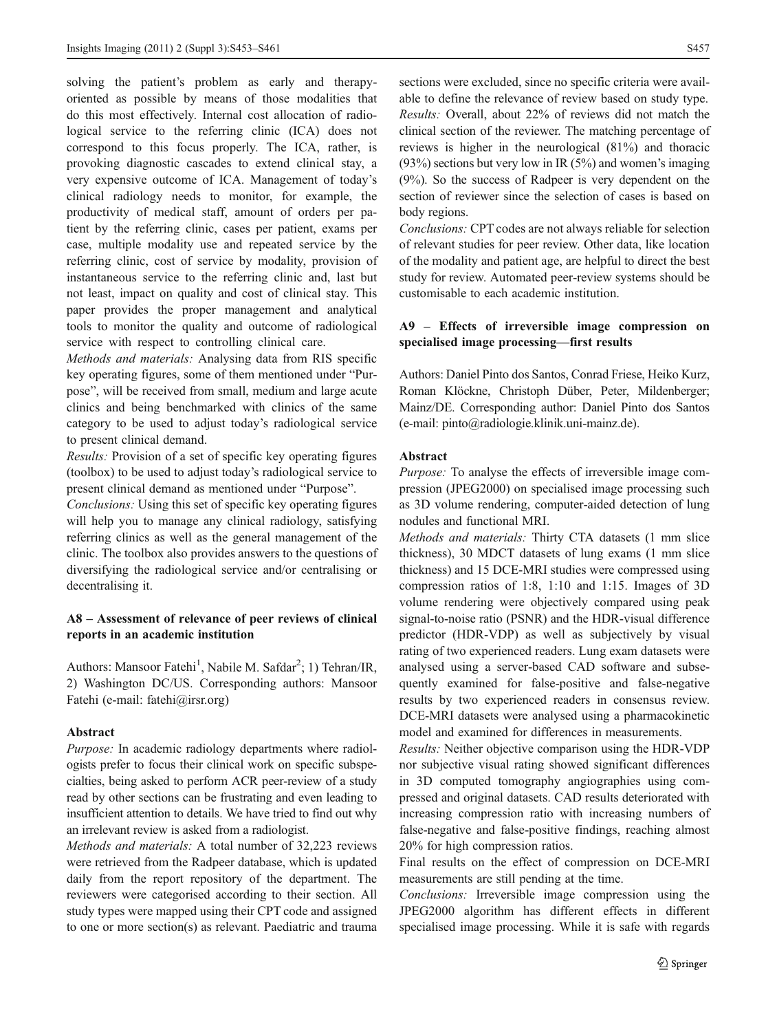solving the patient's problem as early and therapyoriented as possible by means of those modalities that do this most effectively. Internal cost allocation of radiological service to the referring clinic (ICA) does not correspond to this focus properly. The ICA, rather, is provoking diagnostic cascades to extend clinical stay, a very expensive outcome of ICA. Management of today's clinical radiology needs to monitor, for example, the productivity of medical staff, amount of orders per patient by the referring clinic, cases per patient, exams per case, multiple modality use and repeated service by the referring clinic, cost of service by modality, provision of instantaneous service to the referring clinic and, last but not least, impact on quality and cost of clinical stay. This paper provides the proper management and analytical tools to monitor the quality and outcome of radiological service with respect to controlling clinical care.

Methods and materials: Analysing data from RIS specific key operating figures, some of them mentioned under "Purpose", will be received from small, medium and large acute clinics and being benchmarked with clinics of the same category to be used to adjust today's radiological service to present clinical demand.

Results: Provision of a set of specific key operating figures (toolbox) to be used to adjust today's radiological service to present clinical demand as mentioned under "Purpose".

Conclusions: Using this set of specific key operating figures will help you to manage any clinical radiology, satisfying referring clinics as well as the general management of the clinic. The toolbox also provides answers to the questions of diversifying the radiological service and/or centralising or decentralising it.

### A8 – Assessment of relevance of peer reviews of clinical reports in an academic institution

Authors: Mansoor Fatehi<sup>1</sup>, Nabile M. Safdar<sup>2</sup>; 1) Tehran/IR, 2) Washington DC/US. Corresponding authors: Mansoor Fatehi (e-mail: fatehi@irsr.org)

#### Abstract

Purpose: In academic radiology departments where radiologists prefer to focus their clinical work on specific subspecialties, being asked to perform ACR peer-review of a study read by other sections can be frustrating and even leading to insufficient attention to details. We have tried to find out why an irrelevant review is asked from a radiologist.

Methods and materials: A total number of 32,223 reviews were retrieved from the Radpeer database, which is updated daily from the report repository of the department. The reviewers were categorised according to their section. All study types were mapped using their CPT code and assigned to one or more section(s) as relevant. Paediatric and trauma sections were excluded, since no specific criteria were available to define the relevance of review based on study type. Results: Overall, about 22% of reviews did not match the clinical section of the reviewer. The matching percentage of reviews is higher in the neurological (81%) and thoracic (93%) sections but very low in IR (5%) and women's imaging (9%). So the success of Radpeer is very dependent on the section of reviewer since the selection of cases is based on body regions.

Conclusions: CPT codes are not always reliable for selection of relevant studies for peer review. Other data, like location of the modality and patient age, are helpful to direct the best study for review. Automated peer-review systems should be customisable to each academic institution.

## A9 – Effects of irreversible image compression on specialised image processing—first results

Authors: Daniel Pinto dos Santos, Conrad Friese, Heiko Kurz, Roman Klöckne, Christoph Düber, Peter, Mildenberger; Mainz/DE. Corresponding author: Daniel Pinto dos Santos (e-mail: pinto@radiologie.klinik.uni-mainz.de).

## Abstract

Purpose: To analyse the effects of irreversible image compression (JPEG2000) on specialised image processing such as 3D volume rendering, computer-aided detection of lung nodules and functional MRI.

Methods and materials: Thirty CTA datasets (1 mm slice thickness), 30 MDCT datasets of lung exams (1 mm slice thickness) and 15 DCE-MRI studies were compressed using compression ratios of 1:8, 1:10 and 1:15. Images of 3D volume rendering were objectively compared using peak signal-to-noise ratio (PSNR) and the HDR-visual difference predictor (HDR-VDP) as well as subjectively by visual rating of two experienced readers. Lung exam datasets were analysed using a server-based CAD software and subsequently examined for false-positive and false-negative results by two experienced readers in consensus review. DCE-MRI datasets were analysed using a pharmacokinetic model and examined for differences in measurements.

Results: Neither objective comparison using the HDR-VDP nor subjective visual rating showed significant differences in 3D computed tomography angiographies using compressed and original datasets. CAD results deteriorated with increasing compression ratio with increasing numbers of false-negative and false-positive findings, reaching almost 20% for high compression ratios.

Final results on the effect of compression on DCE-MRI measurements are still pending at the time.

Conclusions: Irreversible image compression using the JPEG2000 algorithm has different effects in different specialised image processing. While it is safe with regards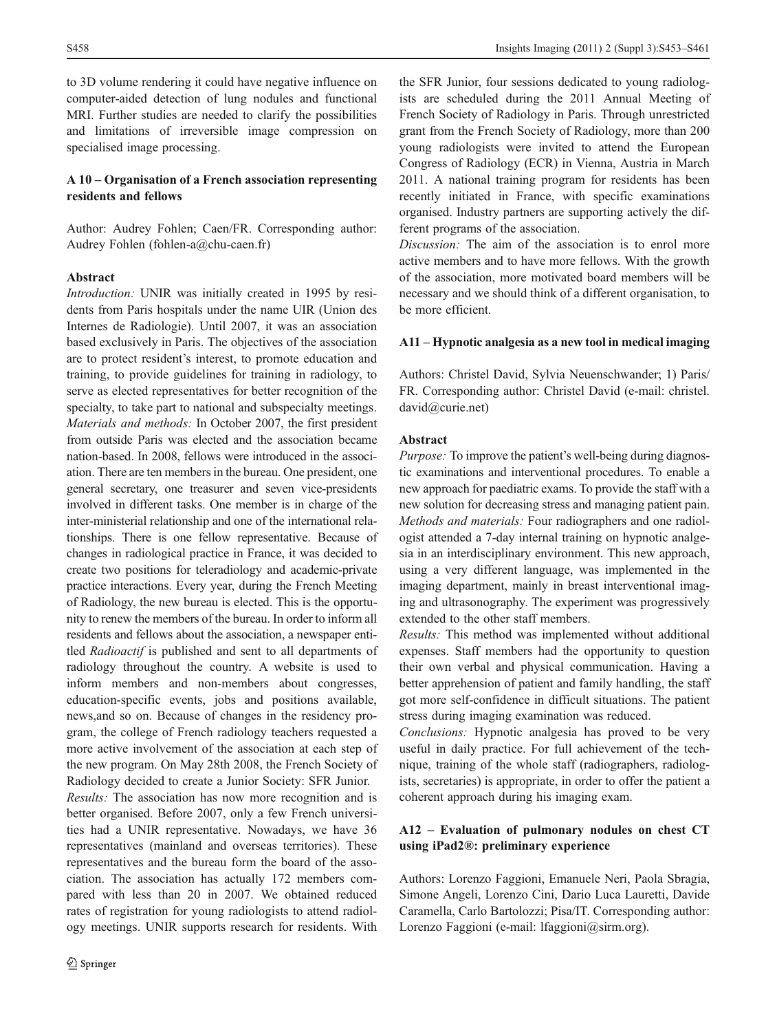to 3D volume rendering it could have negative influence on computer-aided detection of lung nodules and functional MRI. Further studies are needed to clarify the possibilities and limitations of irreversible image compression on specialised image processing.

## A 10 – Organisation of a French association representing residents and fellows

Author: Audrey Fohlen; Caen/FR. Corresponding author: Audrey Fohlen (fohlen-a@chu-caen.fr)

#### Abstract

Introduction: UNIR was initially created in 1995 by residents from Paris hospitals under the name UIR (Union des Internes de Radiologie). Until 2007, it was an association based exclusively in Paris. The objectives of the association are to protect resident's interest, to promote education and training, to provide guidelines for training in radiology, to serve as elected representatives for better recognition of the specialty, to take part to national and subspecialty meetings. Materials and methods: In October 2007, the first president from outside Paris was elected and the association became nation-based. In 2008, fellows were introduced in the association. There are ten members in the bureau. One president, one general secretary, one treasurer and seven vice-presidents involved in different tasks. One member is in charge of the inter-ministerial relationship and one of the international relationships. There is one fellow representative. Because of changes in radiological practice in France, it was decided to create two positions for teleradiology and academic-private practice interactions. Every year, during the French Meeting of Radiology, the new bureau is elected. This is the opportunity to renew the members of the bureau. In order to inform all residents and fellows about the association, a newspaper entitled Radioactif is published and sent to all departments of radiology throughout the country. A website is used to inform members and non-members about congresses, education-specific events, jobs and positions available, news,and so on. Because of changes in the residency program, the college of French radiology teachers requested a more active involvement of the association at each step of the new program. On May 28th 2008, the French Society of Radiology decided to create a Junior Society: SFR Junior. Results: The association has now more recognition and is

better organised. Before 2007, only a few French universities had a UNIR representative. Nowadays, we have 36 representatives (mainland and overseas territories). These representatives and the bureau form the board of the association. The association has actually 172 members compared with less than 20 in 2007. We obtained reduced rates of registration for young radiologists to attend radiology meetings. UNIR supports research for residents. With

the SFR Junior, four sessions dedicated to young radiologists are scheduled during the 2011 Annual Meeting of French Society of Radiology in Paris. Through unrestricted grant from the French Society of Radiology, more than 200 young radiologists were invited to attend the European Congress of Radiology (ECR) in Vienna, Austria in March 2011. A national training program for residents has been recently initiated in France, with specific examinations organised. Industry partners are supporting actively the different programs of the association.

Discussion: The aim of the association is to enrol more active members and to have more fellows. With the growth of the association, more motivated board members will be necessary and we should think of a different organisation, to be more efficient.

#### A11 – Hypnotic analgesia as a new tool in medical imaging

Authors: Christel David, Sylvia Neuenschwander; 1) Paris/ FR. Corresponding author: Christel David (e-mail: christel. david@curie.net)

#### Abstract

Purpose: To improve the patient's well-being during diagnostic examinations and interventional procedures. To enable a new approach for paediatric exams. To provide the staff with a new solution for decreasing stress and managing patient pain. Methods and materials: Four radiographers and one radiologist attended a 7-day internal training on hypnotic analgesia in an interdisciplinary environment. This new approach, using a very different language, was implemented in the imaging department, mainly in breast interventional imaging and ultrasonography. The experiment was progressively extended to the other staff members.

Results: This method was implemented without additional expenses. Staff members had the opportunity to question their own verbal and physical communication. Having a better apprehension of patient and family handling, the staff got more self-confidence in difficult situations. The patient stress during imaging examination was reduced.

Conclusions: Hypnotic analgesia has proved to be very useful in daily practice. For full achievement of the technique, training of the whole staff (radiographers, radiologists, secretaries) is appropriate, in order to offer the patient a coherent approach during his imaging exam.

## A12 – Evaluation of pulmonary nodules on chest CT using iPad2®: preliminary experience

Authors: Lorenzo Faggioni, Emanuele Neri, Paola Sbragia, Simone Angeli, Lorenzo Cini, Dario Luca Lauretti, Davide Caramella, Carlo Bartolozzi; Pisa/IT. Corresponding author: Lorenzo Faggioni (e-mail: lfaggioni@sirm.org).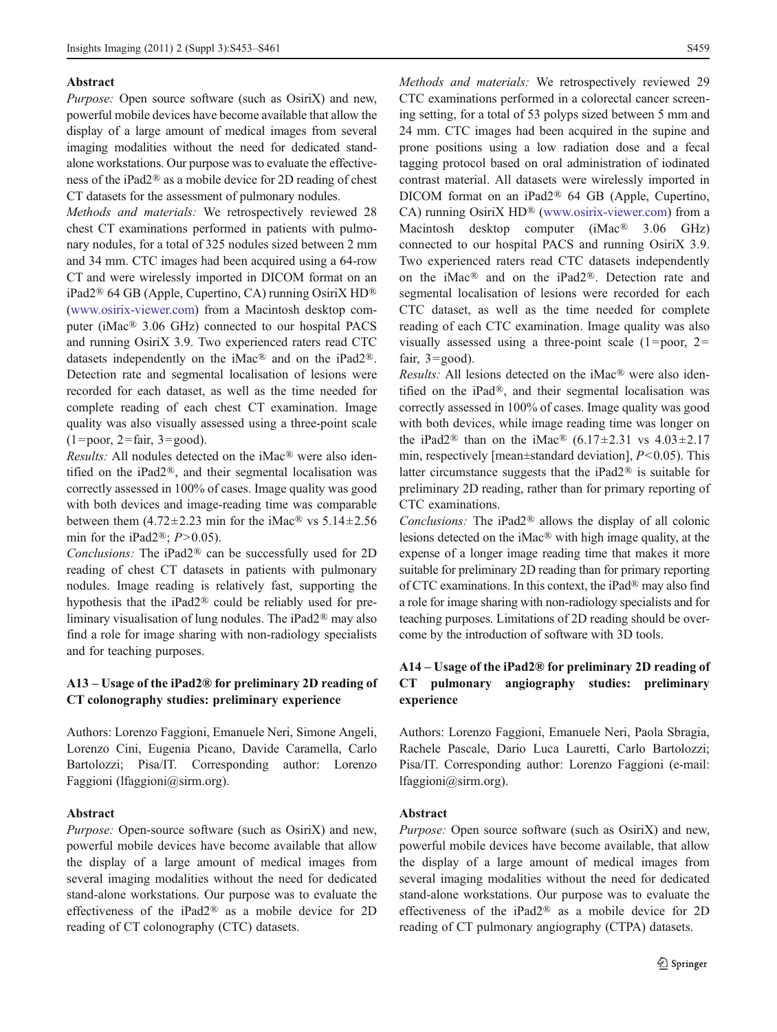#### Abstract

Purpose: Open source software (such as OsiriX) and new, powerful mobile devices have become available that allow the display of a large amount of medical images from several imaging modalities without the need for dedicated standalone workstations. Our purpose was to evaluate the effectiveness of the iPad2® as a mobile device for 2D reading of chest CT datasets for the assessment of pulmonary nodules.

Methods and materials: We retrospectively reviewed 28 chest CT examinations performed in patients with pulmonary nodules, for a total of 325 nodules sized between 2 mm and 34 mm. CTC images had been acquired using a 64-row CT and were wirelessly imported in DICOM format on an iPad2® 64 GB (Apple, Cupertino, CA) running OsiriX HD® [\(www.osirix-viewer.com](http://www.osirix-viewer.com)) from a Macintosh desktop computer (iMac® 3.06 GHz) connected to our hospital PACS and running OsiriX 3.9. Two experienced raters read CTC datasets independently on the iMac® and on the iPad2®. Detection rate and segmental localisation of lesions were recorded for each dataset, as well as the time needed for complete reading of each chest CT examination. Image quality was also visually assessed using a three-point scale  $(1=poor, 2=fair, 3=good).$ 

Results: All nodules detected on the iMac® were also identified on the iPad2®, and their segmental localisation was correctly assessed in 100% of cases. Image quality was good with both devices and image-reading time was comparable between them  $(4.72 \pm 2.23 \text{ min}$  for the iMac<sup>®</sup> vs  $5.14 \pm 2.56$ min for the iPad $2^{\circledR}$ ;  $P > 0.05$ ).

Conclusions: The iPad2® can be successfully used for 2D reading of chest CT datasets in patients with pulmonary nodules. Image reading is relatively fast, supporting the hypothesis that the iPad2® could be reliably used for preliminary visualisation of lung nodules. The iPad2® may also find a role for image sharing with non-radiology specialists and for teaching purposes.

## A13 – Usage of the iPad2® for preliminary 2D reading of CT colonography studies: preliminary experience

Authors: Lorenzo Faggioni, Emanuele Neri, Simone Angeli, Lorenzo Cini, Eugenia Picano, Davide Caramella, Carlo Bartolozzi; Pisa/IT. Corresponding author: Lorenzo Faggioni (lfaggioni@sirm.org).

#### Abstract

Purpose: Open-source software (such as OsiriX) and new, powerful mobile devices have become available that allow the display of a large amount of medical images from several imaging modalities without the need for dedicated stand-alone workstations. Our purpose was to evaluate the effectiveness of the iPad2® as a mobile device for 2D reading of CT colonography (CTC) datasets.

Methods and materials: We retrospectively reviewed 29 CTC examinations performed in a colorectal cancer screening setting, for a total of 53 polyps sized between 5 mm and 24 mm. CTC images had been acquired in the supine and prone positions using a low radiation dose and a fecal tagging protocol based on oral administration of iodinated contrast material. All datasets were wirelessly imported in DICOM format on an iPad2® 64 GB (Apple, Cupertino, CA) running OsiriX HD® ([www.osirix-viewer.com\)](http://www.osirix-viewer.com) from a Macintosh desktop computer (iMac® 3.06 GHz) connected to our hospital PACS and running OsiriX 3.9. Two experienced raters read CTC datasets independently on the iMac® and on the iPad2®. Detection rate and segmental localisation of lesions were recorded for each CTC dataset, as well as the time needed for complete reading of each CTC examination. Image quality was also visually assessed using a three-point scale (1=poor, 2= fair,  $3 = \text{good}$ ).

Results: All lesions detected on the iMac® were also identified on the iPad®, and their segmental localisation was correctly assessed in 100% of cases. Image quality was good with both devices, while image reading time was longer on the iPad2<sup>®</sup> than on the iMac<sup>®</sup> (6.17±2.31 vs  $4.03 \pm 2.17$ ) min, respectively [mean $\pm$ standard deviation],  $P < 0.05$ ). This latter circumstance suggests that the iPad2® is suitable for preliminary 2D reading, rather than for primary reporting of CTC examinations.

Conclusions: The iPad2® allows the display of all colonic lesions detected on the iMac® with high image quality, at the expense of a longer image reading time that makes it more suitable for preliminary 2D reading than for primary reporting of CTC examinations. In this context, the iPad® may also find a role for image sharing with non-radiology specialists and for teaching purposes. Limitations of 2D reading should be overcome by the introduction of software with 3D tools.

## A14 – Usage of the iPad2® for preliminary 2D reading of CT pulmonary angiography studies: preliminary experience

Authors: Lorenzo Faggioni, Emanuele Neri, Paola Sbragia, Rachele Pascale, Dario Luca Lauretti, Carlo Bartolozzi; Pisa/IT. Corresponding author: Lorenzo Faggioni (e-mail: lfaggioni@sirm.org).

#### Abstract

Purpose: Open source software (such as OsiriX) and new, powerful mobile devices have become available, that allow the display of a large amount of medical images from several imaging modalities without the need for dedicated stand-alone workstations. Our purpose was to evaluate the effectiveness of the iPad2® as a mobile device for 2D reading of CT pulmonary angiography (CTPA) datasets.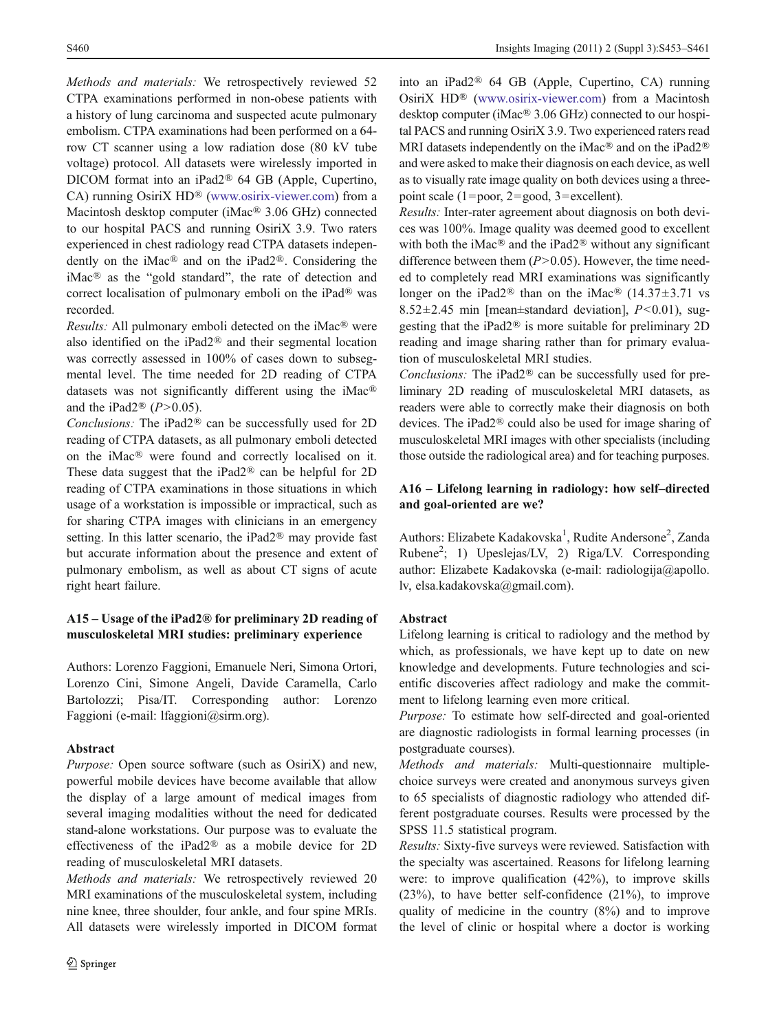Methods and materials: We retrospectively reviewed 52 CTPA examinations performed in non-obese patients with a history of lung carcinoma and suspected acute pulmonary embolism. CTPA examinations had been performed on a 64 row CT scanner using a low radiation dose (80 kV tube voltage) protocol. All datasets were wirelessly imported in DICOM format into an iPad2® 64 GB (Apple, Cupertino, CA) running OsiriX HD® ([www.osirix-viewer.com](http://www.osirix-viewer.com)) from a Macintosh desktop computer (iMac® 3.06 GHz) connected to our hospital PACS and running OsiriX 3.9. Two raters experienced in chest radiology read CTPA datasets independently on the iMac® and on the iPad2®. Considering the iMac® as the "gold standard", the rate of detection and correct localisation of pulmonary emboli on the iPad® was recorded.

Results: All pulmonary emboli detected on the iMac® were also identified on the iPad2® and their segmental location was correctly assessed in 100% of cases down to subsegmental level. The time needed for 2D reading of CTPA datasets was not significantly different using the iMac® and the iPad2<sup>®</sup>  $(P>0.05)$ .

Conclusions: The iPad2® can be successfully used for 2D reading of CTPA datasets, as all pulmonary emboli detected on the iMac® were found and correctly localised on it. These data suggest that the iPad2® can be helpful for 2D reading of CTPA examinations in those situations in which usage of a workstation is impossible or impractical, such as for sharing CTPA images with clinicians in an emergency setting. In this latter scenario, the iPad2® may provide fast but accurate information about the presence and extent of pulmonary embolism, as well as about CT signs of acute right heart failure.

### A15 – Usage of the iPad2® for preliminary 2D reading of musculoskeletal MRI studies: preliminary experience

Authors: Lorenzo Faggioni, Emanuele Neri, Simona Ortori, Lorenzo Cini, Simone Angeli, Davide Caramella, Carlo Bartolozzi; Pisa/IT. Corresponding author: Lorenzo Faggioni (e-mail: lfaggioni@sirm.org).

#### Abstract

Purpose: Open source software (such as OsiriX) and new, powerful mobile devices have become available that allow the display of a large amount of medical images from several imaging modalities without the need for dedicated stand-alone workstations. Our purpose was to evaluate the effectiveness of the iPad2® as a mobile device for 2D reading of musculoskeletal MRI datasets.

Methods and materials: We retrospectively reviewed 20 MRI examinations of the musculoskeletal system, including nine knee, three shoulder, four ankle, and four spine MRIs. All datasets were wirelessly imported in DICOM format into an iPad2® 64 GB (Apple, Cupertino, CA) running OsiriX HD® [\(www.osirix-viewer.com](http://www.osirix-viewer.com)) from a Macintosh desktop computer (iMac® 3.06 GHz) connected to our hospital PACS and running OsiriX 3.9. Two experienced raters read MRI datasets independently on the iMac® and on the iPad2® and were asked to make their diagnosis on each device, as well as to visually rate image quality on both devices using a threepoint scale (1=poor, 2=good, 3=excellent).

Results: Inter-rater agreement about diagnosis on both devices was 100%. Image quality was deemed good to excellent with both the iMac<sup>®</sup> and the iPad2<sup>®</sup> without any significant difference between them  $(P>0.05)$ . However, the time needed to completely read MRI examinations was significantly longer on the iPad2<sup>®</sup> than on the iMac<sup>®</sup> (14.37 $\pm$ 3.71 vs 8.52 $\pm$ 2.45 min [mean $\pm$ standard deviation], P<0.01), suggesting that the iPad2® is more suitable for preliminary 2D reading and image sharing rather than for primary evaluation of musculoskeletal MRI studies.

Conclusions: The iPad2® can be successfully used for preliminary 2D reading of musculoskeletal MRI datasets, as readers were able to correctly make their diagnosis on both devices. The iPad2® could also be used for image sharing of musculoskeletal MRI images with other specialists (including those outside the radiological area) and for teaching purposes.

## A16 – Lifelong learning in radiology: how self–directed and goal-oriented are we?

Authors: Elizabete Kadakovska<sup>1</sup>, Rudite Andersone<sup>2</sup>, Zanda Rubene<sup>2</sup> ; 1) Upeslejas/LV, 2) Riga/LV. Corresponding author: Elizabete Kadakovska (e-mail: radiologija@apollo. lv, elsa.kadakovska@gmail.com).

## Abstract

Lifelong learning is critical to radiology and the method by which, as professionals, we have kept up to date on new knowledge and developments. Future technologies and scientific discoveries affect radiology and make the commitment to lifelong learning even more critical.

Purpose: To estimate how self-directed and goal-oriented are diagnostic radiologists in formal learning processes (in postgraduate courses).

Methods and materials: Multi-questionnaire multiplechoice surveys were created and anonymous surveys given to 65 specialists of diagnostic radiology who attended different postgraduate courses. Results were processed by the SPSS 11.5 statistical program.

Results: Sixty-five surveys were reviewed. Satisfaction with the specialty was ascertained. Reasons for lifelong learning were: to improve qualification (42%), to improve skills (23%), to have better self-confidence (21%), to improve quality of medicine in the country (8%) and to improve the level of clinic or hospital where a doctor is working